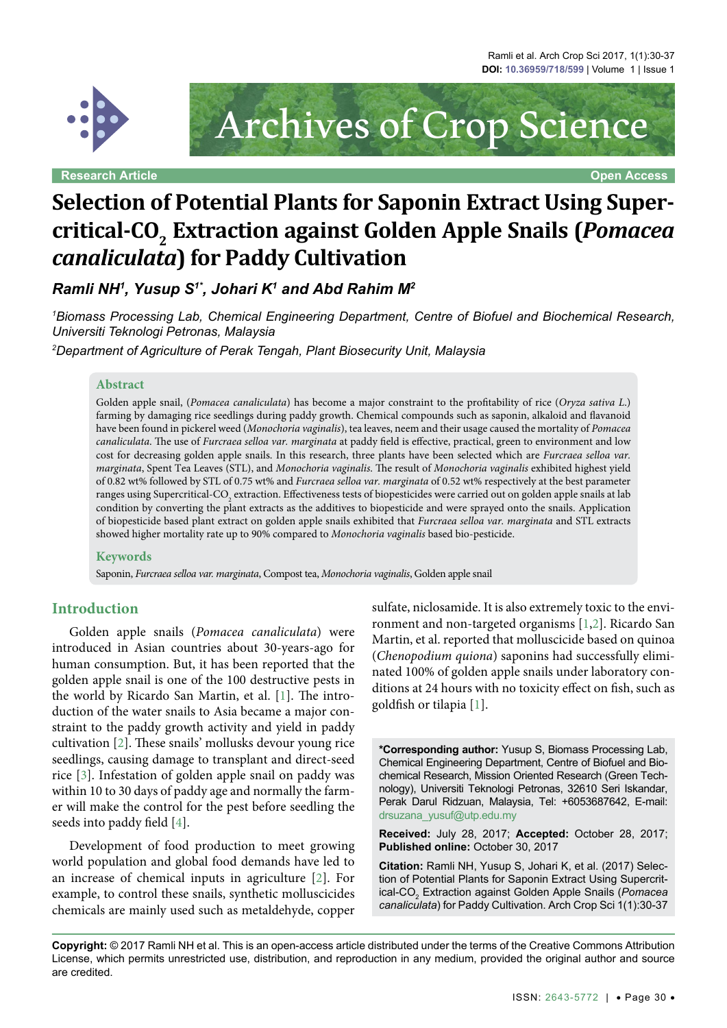

**Research Article Open Access**

Archives of Crop Science

# **Selection of Potential Plants for Saponin Extract Using Supercritical-CO2 Extraction against Golden Apple Snails (***Pomacea canaliculata***) for Paddy Cultivation**

*Ramli NH1 , Yusup S1\*, Johari K1 and Abd Rahim M2*

*1 Biomass Processing Lab, Chemical Engineering Department, Centre of Biofuel and Biochemical Research, Universiti Teknologi Petronas, Malaysia*

*2 Department of Agriculture of Perak Tengah, Plant Biosecurity Unit, Malaysia*

#### **Abstract**

Golden apple snail, (*Pomacea canaliculata*) has become a major constraint to the profitability of rice (*Oryza sativa L*.) farming by damaging rice seedlings during paddy growth. Chemical compounds such as saponin, alkaloid and flavanoid have been found in pickerel weed (*Monochoria vaginalis*), tea leaves, neem and their usage caused the mortality of *Pomacea canaliculata*. The use of *Furcraea selloa var. marginata* at paddy field is effective, practical, green to environment and low cost for decreasing golden apple snails. In this research, three plants have been selected which are *Furcraea selloa var. marginata*, Spent Tea Leaves (STL), and *Monochoria vaginalis*. The result of *Monochoria vaginalis* exhibited highest yield of 0.82 wt% followed by STL of 0.75 wt% and *Furcraea selloa var. marginata* of 0.52 wt% respectively at the best parameter ranges using Supercritical-CO<sub>2</sub> extraction. Effectiveness tests of biopesticides were carried out on golden apple snails at lab condition by converting the plant extracts as the additives to biopesticide and were sprayed onto the snails. Application of biopesticide based plant extract on golden apple snails exhibited that *Furcraea selloa var. marginata* and STL extracts showed higher mortality rate up to 90% compared to *Monochoria vaginalis* based bio-pesticide.

#### **Keywords**

Saponin, *Furcraea selloa var. marginata*, Compost tea, *Monochoria vaginalis*, Golden apple snail

#### **Introduction**

Golden apple snails (*Pomacea canaliculata*) were introduced in Asian countries about 30-years-ago for human consumption. But, it has been reported that the golden apple snail is one of the 100 destructive pests in the world by Ricardo San Martin, et al. [\[1](#page-5-0)]. The introduction of the water snails to Asia became a major constraint to the paddy growth activity and yield in paddy cultivation [\[2\]](#page-6-0). These snails' mollusks devour young rice seedlings, causing damage to transplant and direct-seed rice [[3](#page-6-1)]. Infestation of golden apple snail on paddy was within 10 to 30 days of paddy age and normally the farmer will make the control for the pest before seedling the seeds into paddy field [[4](#page-6-2)].

Development of food production to meet growing world population and global food demands have led to an increase of chemical inputs in agriculture [[2](#page-6-0)]. For example, to control these snails, synthetic molluscicides chemicals are mainly used such as metaldehyde, copper

sulfate, niclosamide. It is also extremely toxic to the environment and non-targeted organisms [\[1,](#page-5-0)[2](#page-6-0)]. Ricardo San Martin, et al. reported that molluscicide based on quinoa (*Chenopodium quiona*) saponins had successfully eliminated 100% of golden apple snails under laboratory conditions at 24 hours with no toxicity effect on fish, such as goldfish or tilapia [\[1\]](#page-5-0).

**\*Corresponding author:** Yusup S, Biomass Processing Lab, Chemical Engineering Department, Centre of Biofuel and Biochemical Research, Mission Oriented Research (Green Technology), Universiti Teknologi Petronas, 32610 Seri Iskandar, Perak Darul Ridzuan, Malaysia, Tel: +6053687642, E-mail: drsuzana\_yusuf@utp.edu.my

**Received:** July 28, 2017; **Accepted:** October 28, 2017; **Published online:** October 30, 2017

**Citation:** Ramli NH, Yusup S, Johari K, et al. (2017) Selection of Potential Plants for Saponin Extract Using Supercritical-CO2 Extraction against Golden Apple Snails (*Pomacea canaliculata*) for Paddy Cultivation. Arch Crop Sci 1(1):30-37

**Copyright:** © 2017 Ramli NH et al. This is an open-access article distributed under the terms of the Creative Commons Attribution License, which permits unrestricted use, distribution, and reproduction in any medium, provided the original author and source are credited.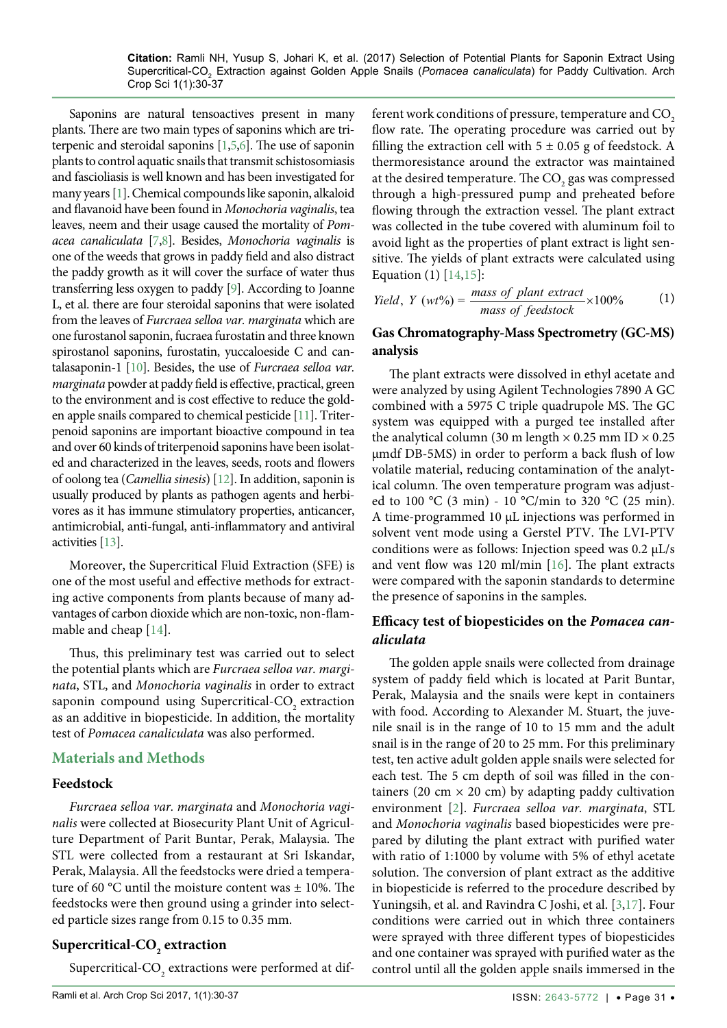Saponins are natural tensoactives present in many plants. There are two main types of saponins which are triterpenic and steroidal saponins [\[1](#page-5-0),[5](#page-6-3)[,6](#page-6-4)]. The use of saponin plants to control aquatic snails that transmit schistosomiasis and fascioliasis is well known and has been investigated for many years [\[1](#page-5-0)]. Chemical compounds like saponin, alkaloid and flavanoid have been found in *Monochoria vaginalis*, tea leaves, neem and their usage caused the mortality of *Pomacea canaliculata* [\[7](#page-6-5),[8\]](#page-6-6). Besides, *Monochoria vaginalis* is one of the weeds that grows in paddy field and also distract the paddy growth as it will cover the surface of water thus transferring less oxygen to paddy [\[9](#page-6-7)]. According to Joanne L, et al. there are four steroidal saponins that were isolated from the leaves of *Furcraea selloa var. marginata* which are one furostanol saponin, fucraea furostatin and three known spirostanol saponins, furostatin, yuccaloeside C and cantalasaponin-1 [[10\]](#page-6-8). Besides, the use of *Furcraea selloa var. marginata* powder at paddy field is effective, practical, green to the environment and is cost effective to reduce the golden apple snails compared to chemical pesticide [\[11\]](#page-6-9). Triterpenoid saponins are important bioactive compound in tea and over 60 kinds of triterpenoid saponins have been isolated and characterized in the leaves, seeds, roots and flowers of oolong tea (*Camellia sinesis*) [\[12](#page-6-10)]. In addition, saponin is usually produced by plants as pathogen agents and herbivores as it has immune stimulatory properties, anticancer, antimicrobial, anti-fungal, anti-inflammatory and antiviral activities [\[13](#page-6-11)].

Moreover, the Supercritical Fluid Extraction (SFE) is one of the most useful and effective methods for extracting active components from plants because of many advantages of carbon dioxide which are non-toxic, non-flammable and cheap [\[14\]](#page-6-12).

Thus, this preliminary test was carried out to select the potential plants which are *Furcraea selloa var. marginata*, STL, and *Monochoria vaginalis* in order to extract saponin compound using Supercritical-CO<sub>2</sub> extraction as an additive in biopesticide. In addition, the mortality test of *Pomacea canaliculata* was also performed.

## **Materials and Methods**

## **Feedstock**

*Furcraea selloa var. marginata* and *Monochoria vaginalis* were collected at Biosecurity Plant Unit of Agriculture Department of Parit Buntar, Perak, Malaysia. The STL were collected from a restaurant at Sri Iskandar, Perak, Malaysia. All the feedstocks were dried a temperature of 60 °C until the moisture content was  $\pm$  10%. The feedstocks were then ground using a grinder into selected particle sizes range from 0.15 to 0.35 mm.

## ${\bf Supercritical\text{-}CO}_{_2}$  extraction

Supercritical-CO<sub>2</sub> extractions were performed at dif-

ferent work conditions of pressure, temperature and CO<sub>2</sub> flow rate. The operating procedure was carried out by filling the extraction cell with  $5 \pm 0.05$  g of feedstock. A thermoresistance around the extractor was maintained at the desired temperature. The  $\mathrm{CO}_2$  gas was compressed through a high-pressured pump and preheated before flowing through the extraction vessel. The plant extract was collected in the tube covered with aluminum foil to avoid light as the properties of plant extract is light sensitive. The yields of plant extracts were calculated using Equation (1) [[14](#page-6-12),[15\]](#page-6-13):

$$
Yield, Y (wt\%) = \frac{mass \ of \ plant \ extract}{mass \ of \ feedback}
$$
 (1)

## **Gas Chromatography-Mass Spectrometry (GC-MS) analysis**

The plant extracts were dissolved in ethyl acetate and were analyzed by using Agilent Technologies 7890 A GC combined with a 5975 C triple quadrupole MS. The GC system was equipped with a purged tee installed after the analytical column (30 m length  $\times$  0.25 mm ID  $\times$  0.25 µmdf DB-5MS) in order to perform a back flush of low volatile material, reducing contamination of the analytical column. The oven temperature program was adjusted to 100 °C (3 min) - 10 °C/min to 320 °C (25 min). A time-programmed 10 µL injections was performed in solvent vent mode using a Gerstel PTV. The LVI-PTV conditions were as follows: Injection speed was  $0.2 \mu L/s$ and vent flow was 120 ml/min [\[16\]](#page-6-14). The plant extracts were compared with the saponin standards to determine the presence of saponins in the samples.

### **Efficacy test of biopesticides on the** *Pomacea canaliculata*

The golden apple snails were collected from drainage system of paddy field which is located at Parit Buntar, Perak, Malaysia and the snails were kept in containers with food. According to Alexander M. Stuart, the juvenile snail is in the range of 10 to 15 mm and the adult snail is in the range of 20 to 25 mm. For this preliminary test, ten active adult golden apple snails were selected for each test. The 5 cm depth of soil was filled in the containers (20 cm  $\times$  20 cm) by adapting paddy cultivation environment [[2](#page-6-0)]. *Furcraea selloa var. marginata*, STL and *Monochoria vaginalis* based biopesticides were prepared by diluting the plant extract with purified water with ratio of 1:1000 by volume with 5% of ethyl acetate solution. The conversion of plant extract as the additive in biopesticide is referred to the procedure described by Yuningsih, et al. and Ravindra C Joshi, et al. [\[3,](#page-6-1)[17\]](#page-6-15). Four conditions were carried out in which three containers were sprayed with three different types of biopesticides and one container was sprayed with purified water as the control until all the golden apple snails immersed in the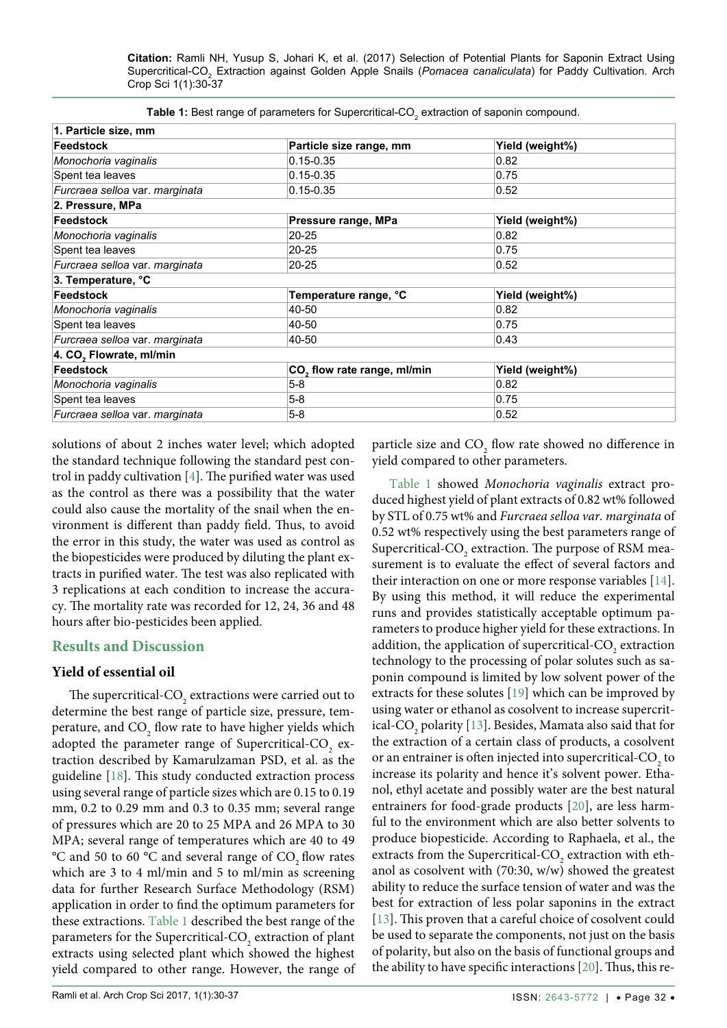| 1. Particle size, mm                |                                         |                 |  |  |  |  |
|-------------------------------------|-----------------------------------------|-----------------|--|--|--|--|
| Feedstock                           | Particle size range, mm                 | Yield (weight%) |  |  |  |  |
| Monochoria vaginalis                | $0.15 - 0.35$                           | 0.82            |  |  |  |  |
| Spent tea leaves                    | $0.15 - 0.35$                           | 0.75            |  |  |  |  |
| Furcraea selloa var. marginata      | $0.15 - 0.35$                           | 0.52            |  |  |  |  |
| 2. Pressure, MPa                    |                                         |                 |  |  |  |  |
| <b>Feedstock</b>                    | Pressure range, MPa                     | Yield (weight%) |  |  |  |  |
| Monochoria vaginalis                | $20 - 25$                               | 0.82            |  |  |  |  |
| Spent tea leaves                    | $20 - 25$                               | 0.75            |  |  |  |  |
| Furcraea selloa var. marginata      | $20 - 25$                               | 0.52            |  |  |  |  |
| 3. Temperature, °C                  |                                         |                 |  |  |  |  |
| <b>Feedstock</b>                    | Temperature range, °C                   | Yield (weight%) |  |  |  |  |
| Monochoria vaginalis                | 40-50                                   | 0.82            |  |  |  |  |
| Spent tea leaves                    | 40-50                                   | 0.75            |  |  |  |  |
| Furcraea selloa var. marginata      | 40-50                                   | 0.43            |  |  |  |  |
| 4. CO <sub>2</sub> Flowrate, ml/min |                                         |                 |  |  |  |  |
| Feedstock                           | CO <sub>2</sub> flow rate range, ml/min | Yield (weight%) |  |  |  |  |
| Monochoria vaginalis                | $5-8$                                   | 0.82            |  |  |  |  |
| Spent tea leaves                    | $5-8$                                   | 0.75            |  |  |  |  |
| Furcraea selloa var. marginata      | $5-8$                                   | 0.52            |  |  |  |  |

<span id="page-2-0"></span>**Table 1:** Best range of parameters for Supercritical-CO<sub>2</sub> extraction of saponin compound.

solutions of about 2 inches water level; which adopted the standard technique following the standard pest control in paddy cultivation [[4](#page-6-2)]. The purified water was used as the control as there was a possibility that the water could also cause the mortality of the snail when the environment is different than paddy field. Thus, to avoid the error in this study, the water was used as control as the biopesticides were produced by diluting the plant extracts in purified water. The test was also replicated with 3 replications at each condition to increase the accuracy. The mortality rate was recorded for 12, 24, 36 and 48 hours after bio-pesticides been applied.

#### **Results and Discussion**

#### **Yield of essential oil**

The supercritical-CO<sub>2</sub> extractions were carried out to determine the best range of particle size, pressure, temperature, and  $\mathrm{CO}_\mathrm{2}$  flow rate to have higher yields which adopted the parameter range of Supercritical-CO<sub>2</sub> extraction described by Kamarulzaman PSD, et al. as the guideline [\[18\]](#page-6-16). This study conducted extraction process using several range of particle sizes which are 0.15 to 0.19 mm, 0.2 to 0.29 mm and 0.3 to 0.35 mm; several range of pressures which are 20 to 25 MPA and 26 MPA to 30 MPA; several range of temperatures which are 40 to 49 °C and 50 to 60 °C and several range of  $CO$ , flow rates which are 3 to 4 ml/min and 5 to ml/min as screening data for further Research Surface Methodology (RSM) application in order to find the optimum parameters for these extractions. [Table 1](#page-2-0) described the best range of the parameters for the Supercritical-CO<sub>2</sub> extraction of plant extracts using selected plant which showed the highest yield compared to other range. However, the range of

particle size and  $CO_2$  flow rate showed no difference in yield compared to other parameters.

[Table 1](#page-2-0) showed *Monochoria vaginalis* extract produced highest yield of plant extracts of 0.82 wt% followed by STL of 0.75 wt% and *Furcraea selloa var. marginata* of 0.52 wt% respectively using the best parameters range of Supercritical- $\text{CO}_2$  extraction. The purpose of RSM measurement is to evaluate the effect of several factors and their interaction on one or more response variables [[14](#page-6-12)]. By using this method, it will reduce the experimental runs and provides statistically acceptable optimum parameters to produce higher yield for these extractions. In addition, the application of supercritical- $\mathrm{CO}_2$  extraction technology to the processing of polar solutes such as saponin compound is limited by low solvent power of the extracts for these solutes [\[19\]](#page-6-17) which can be improved by using water or ethanol as cosolvent to increase supercritical- $\mathrm{CO}_2$  polarity [\[13\]](#page-6-11). Besides, Mamata also said that for the extraction of a certain class of products, a cosolvent or an entrainer is often injected into supercritical-CO<sub>2</sub> to increase its polarity and hence it's solvent power. Ethanol, ethyl acetate and possibly water are the best natural entrainers for food-grade products [\[20\]](#page-6-18), are less harmful to the environment which are also better solvents to produce biopesticide. According to Raphaela, et al., the extracts from the Supercritical- $\text{CO}_2$  extraction with ethanol as cosolvent with (70:30, w/w) showed the greatest ability to reduce the surface tension of water and was the best for extraction of less polar saponins in the extract [[13](#page-6-11)]. This proven that a careful choice of cosolvent could be used to separate the components, not just on the basis of polarity, but also on the basis of functional groups and the ability to have specific interactions [[20](#page-6-18)]. Thus, this re-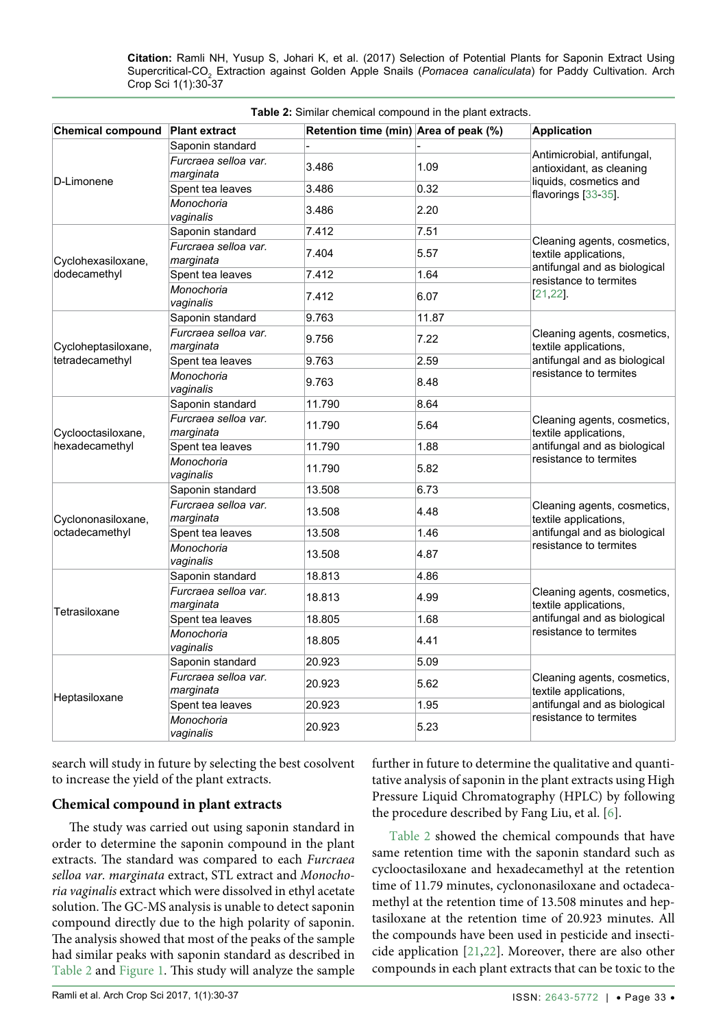| Chemical compound Plant extract                                                |                                   | Retention time (min) Area of peak (%) |       | <b>Application</b>                                                                                      |  |  |  |  |
|--------------------------------------------------------------------------------|-----------------------------------|---------------------------------------|-------|---------------------------------------------------------------------------------------------------------|--|--|--|--|
|                                                                                | Saponin standard                  |                                       |       |                                                                                                         |  |  |  |  |
| D-Limonene                                                                     | Furcraea selloa var.<br>marginata | 3.486                                 | 1.09  | Antimicrobial, antifungal,<br>antioxidant, as cleaning<br>liquids, cosmetics and<br>flavorings [33-35]. |  |  |  |  |
|                                                                                | Spent tea leaves                  | 3.486                                 | 0.32  |                                                                                                         |  |  |  |  |
|                                                                                | Monochoria<br>vaginalis           | 3.486                                 | 2.20  |                                                                                                         |  |  |  |  |
| Cyclohexasiloxane,                                                             | Saponin standard                  | 7.412                                 | 7.51  | Cleaning agents, cosmetics,                                                                             |  |  |  |  |
|                                                                                | Furcraea selloa var.<br>marginata | 7.404                                 | 5.57  | textile applications,<br>antifungal and as biological                                                   |  |  |  |  |
| dodecamethyl                                                                   | Spent tea leaves                  | 7.412                                 | 1.64  | resistance to termites                                                                                  |  |  |  |  |
|                                                                                | Monochoria<br>vaginalis           | 7.412                                 | 6.07  | $[21, 22]$ .                                                                                            |  |  |  |  |
|                                                                                | Saponin standard                  | 9.763                                 | 11.87 |                                                                                                         |  |  |  |  |
| Cycloheptasiloxane,<br>tetradecamethyl<br>Cyclooctasiloxane,<br>hexadecamethyl | Furcraea selloa var.<br>marginata | 9.756                                 | 7.22  | Cleaning agents, cosmetics,<br>textile applications,                                                    |  |  |  |  |
|                                                                                | Spent tea leaves                  | 9.763                                 | 2.59  | antifungal and as biological                                                                            |  |  |  |  |
|                                                                                | Monochoria<br>vaginalis           | 9.763                                 | 8.48  | resistance to termites                                                                                  |  |  |  |  |
|                                                                                | Saponin standard                  | 11.790                                | 8.64  |                                                                                                         |  |  |  |  |
|                                                                                | Furcraea selloa var.<br>marginata | 11.790                                | 5.64  | Cleaning agents, cosmetics,<br>textile applications,                                                    |  |  |  |  |
|                                                                                | Spent tea leaves                  | 11.790                                | 1.88  | antifungal and as biological                                                                            |  |  |  |  |
|                                                                                | Monochoria<br>vaginalis           | 11.790                                | 5.82  | resistance to termites                                                                                  |  |  |  |  |
| Cyclononasiloxane,<br>octadecamethyl<br>Tetrasiloxane                          | Saponin standard                  | 13.508                                | 6.73  |                                                                                                         |  |  |  |  |
|                                                                                | Furcraea selloa var.<br>marginata | 13.508                                | 4.48  | Cleaning agents, cosmetics,<br>textile applications,                                                    |  |  |  |  |
|                                                                                | Spent tea leaves                  | 13.508                                | 1.46  | antifungal and as biological                                                                            |  |  |  |  |
|                                                                                | Monochoria<br>vaginalis           | 13.508                                | 4.87  | resistance to termites                                                                                  |  |  |  |  |
|                                                                                | Saponin standard                  | 18.813                                | 4.86  |                                                                                                         |  |  |  |  |
|                                                                                | Furcraea selloa var.<br>marginata | 18.813                                | 4.99  | Cleaning agents, cosmetics,<br>textile applications,                                                    |  |  |  |  |
|                                                                                | Spent tea leaves                  | 18.805                                | 1.68  | antifungal and as biological                                                                            |  |  |  |  |
|                                                                                | Monochoria<br>vaginalis           | 18.805                                | 4.41  | resistance to termites                                                                                  |  |  |  |  |
| Heptasiloxane                                                                  | Saponin standard                  | 20.923                                | 5.09  |                                                                                                         |  |  |  |  |
|                                                                                | Furcraea selloa var.<br>marginata | 20.923                                | 5.62  | Cleaning agents, cosmetics,<br>textile applications,                                                    |  |  |  |  |
|                                                                                | Spent tea leaves                  | 20.923                                | 1.95  | antifungal and as biological                                                                            |  |  |  |  |
|                                                                                | Monochoria<br>vaginalis           | resistance to termites                |       |                                                                                                         |  |  |  |  |

<span id="page-3-0"></span>**Table 2:** Similar chemical compound in the plant extracts.

search will study in future by selecting the best cosolvent to increase the yield of the plant extracts.

#### **Chemical compound in plant extracts**

The study was carried out using saponin standard in order to determine the saponin compound in the plant extracts. The standard was compared to each *Furcraea selloa var. marginata* extract, STL extract and *Monochoria vaginalis* extract which were dissolved in ethyl acetate solution. The GC-MS analysis is unable to detect saponin compound directly due to the high polarity of saponin. The analysis showed that most of the peaks of the sample had similar peaks with saponin standard as described in [Table 2](#page-3-0) and [Figure 1](#page-4-0). This study will analyze the sample

further in future to determine the qualitative and quantitative analysis of saponin in the plant extracts using High Pressure Liquid Chromatography (HPLC) by following the procedure described by Fang Liu, et al. [[6\]](#page-6-4).

[Table 2](#page-3-0) showed the chemical compounds that have same retention time with the saponin standard such as cyclooctasiloxane and hexadecamethyl at the retention time of 11.79 minutes, cyclononasiloxane and octadecamethyl at the retention time of 13.508 minutes and heptasiloxane at the retention time of 20.923 minutes. All the compounds have been used in pesticide and insecticide application [[21](#page-6-19),[22](#page-6-20)]. Moreover, there are also other compounds in each plant extracts that can be toxic to the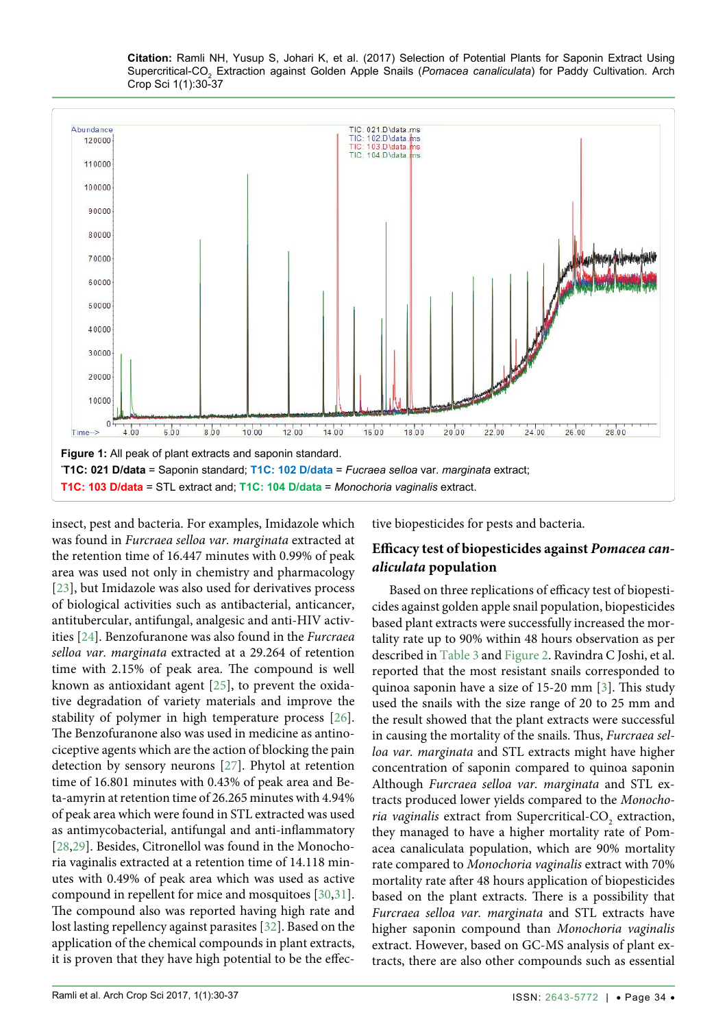<span id="page-4-0"></span>

insect, pest and bacteria. For examples, Imidazole which was found in *Furcraea selloa var. marginata* extracted at the retention time of 16.447 minutes with 0.99% of peak area was used not only in chemistry and pharmacology [\[23\]](#page-6-21), but Imidazole was also used for derivatives process of biological activities such as antibacterial, anticancer, antitubercular, antifungal, analgesic and anti-HIV activities [[24](#page-6-22)]. Benzofuranone was also found in the *Furcraea selloa var. marginata* extracted at a 29.264 of retention time with 2.15% of peak area. The compound is well known as antioxidant agent [[25](#page-6-23)], to prevent the oxidative degradation of variety materials and improve the stability of polymer in high temperature process [[26](#page-6-24)]. The Benzofuranone also was used in medicine as antinociceptive agents which are the action of blocking the pain detection by sensory neurons [[27](#page-6-25)]. Phytol at retention time of 16.801 minutes with 0.43% of peak area and Beta-amyrin at retention time of 26.265 minutes with 4.94% of peak area which were found in STL extracted was used as antimycobacterial, antifungal and anti-inflammatory [\[28](#page-6-26)[,29\]](#page-6-27). Besides, Citronellol was found in the Monochoria vaginalis extracted at a retention time of 14.118 minutes with 0.49% of peak area which was used as active compound in repellent for mice and mosquitoes [[30](#page-6-28),[31](#page-6-29)]. The compound also was reported having high rate and lost lasting repellency against parasites [\[32\]](#page-7-2). Based on the application of the chemical compounds in plant extracts, it is proven that they have high potential to be the effective biopesticides for pests and bacteria.

### **Efficacy test of biopesticides against** *Pomacea canaliculata* **population**

Based on three replications of efficacy test of biopesticides against golden apple snail population, biopesticides based plant extracts were successfully increased the mortality rate up to 90% within 48 hours observation as per described in [Table 3](#page-5-1) and [Figure 2](#page-5-2). Ravindra C Joshi, et al. reported that the most resistant snails corresponded to quinoa saponin have a size of 15-20 mm [\[3\]](#page-6-1). This study used the snails with the size range of 20 to 25 mm and the result showed that the plant extracts were successful in causing the mortality of the snails. Thus, *Furcraea selloa var. marginata* and STL extracts might have higher concentration of saponin compared to quinoa saponin Although *Furcraea selloa var. marginata* and STL extracts produced lower yields compared to the *Monochoria vaginalis* extract from Supercritical-CO<sub>2</sub> extraction, they managed to have a higher mortality rate of Pomacea canaliculata population, which are 90% mortality rate compared to *Monochoria vaginalis* extract with 70% mortality rate after 48 hours application of biopesticides based on the plant extracts. There is a possibility that *Furcraea selloa var. marginata* and STL extracts have higher saponin compound than *Monochoria vaginalis* extract. However, based on GC-MS analysis of plant extracts, there are also other compounds such as essential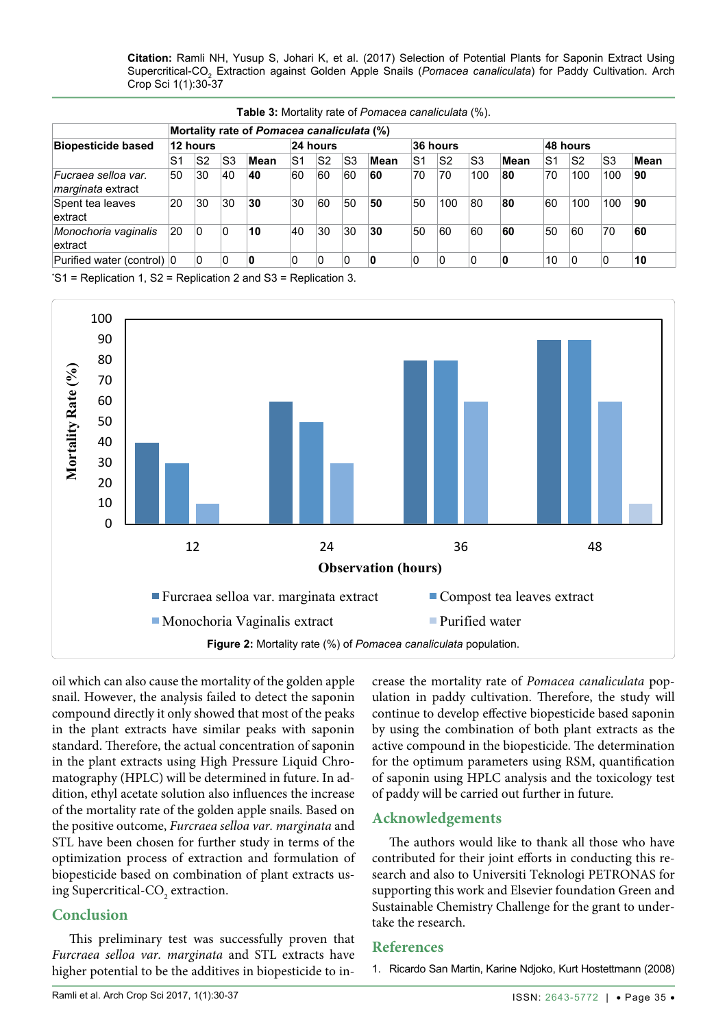| <b>Biopesticide based</b>                       | Mortality rate of Pomacea canaliculata (%) |                |    |      |          |                |                |          |                |                |                |      |    |                |     |      |
|-------------------------------------------------|--------------------------------------------|----------------|----|------|----------|----------------|----------------|----------|----------------|----------------|----------------|------|----|----------------|-----|------|
|                                                 | 12 hours                                   |                |    |      | 24 hours |                |                | 36 hours |                |                | 48 hours       |      |    |                |     |      |
|                                                 | S <sub>1</sub>                             | S <sub>2</sub> | S3 | Mean | S1       | S <sub>2</sub> | S3             | Mean     | S <sub>1</sub> | S <sub>2</sub> | S <sub>3</sub> | Mean | S1 | S <sub>2</sub> | S3  | Mean |
| Fucraea selloa var.<br><i>marginata</i> extract | 50                                         | 30             | 40 | 40   | 60       | 60             | 60             | 60       | 70             | 70             | 100            | 80   | 70 | 100            | 100 | 90   |
| Spent tea leaves<br>extract                     | 20                                         | 30             | 30 | 30   | 30       | 60             | 50             | 50       | 50             | 100            | 80             | 80   | 60 | 100            | 100 | 90   |
| Monochoria vaginalis<br>extract                 | 20                                         | 0              | 0  | 10   | 40       | 30             | 30             | 30       | 50             | 60             | 60             | 60   | 50 | 60             | 70  | 60   |
| Purified water (control) 0                      |                                            | 0              | 0  | 0    | 0        | 0              | $\overline{0}$ | 0        | 0              | 0              | 0              | 0    | 10 | 10             | 0   | 10   |

<span id="page-5-1"></span>**Table 3:** Mortality rate of *Pomacea canaliculata* (%).

\* S1 = Replication 1, S2 = Replication 2 and S3 = Replication 3.

<span id="page-5-2"></span>

oil which can also cause the mortality of the golden apple snail. However, the analysis failed to detect the saponin compound directly it only showed that most of the peaks in the plant extracts have similar peaks with saponin standard. Therefore, the actual concentration of saponin in the plant extracts using High Pressure Liquid Chromatography (HPLC) will be determined in future. In addition, ethyl acetate solution also influences the increase of the mortality rate of the golden apple snails. Based on the positive outcome, *Furcraea selloa var. marginata* and STL have been chosen for further study in terms of the optimization process of extraction and formulation of biopesticide based on combination of plant extracts using Supercritical-CO<sub>2</sub> extraction.

#### **Conclusion**

This preliminary test was successfully proven that *Furcraea selloa var. marginata* and STL extracts have higher potential to be the additives in biopesticide to increase the mortality rate of *Pomacea canaliculata* population in paddy cultivation. Therefore, the study will continue to develop effective biopesticide based saponin by using the combination of both plant extracts as the active compound in the biopesticide. The determination for the optimum parameters using RSM, quantification of saponin using HPLC analysis and the toxicology test of paddy will be carried out further in future.

#### **Acknowledgements**

The authors would like to thank all those who have contributed for their joint efforts in conducting this research and also to Universiti Teknologi PETRONAS for supporting this work and Elsevier foundation Green and Sustainable Chemistry Challenge for the grant to undertake the research.

#### **References**

<span id="page-5-0"></span>1. [Ricardo San Martin, Karine Ndjoko, Kurt Hostettmann \(2008\)](http://www.sciencedirect.com/science/article/pii/S0261219407000701)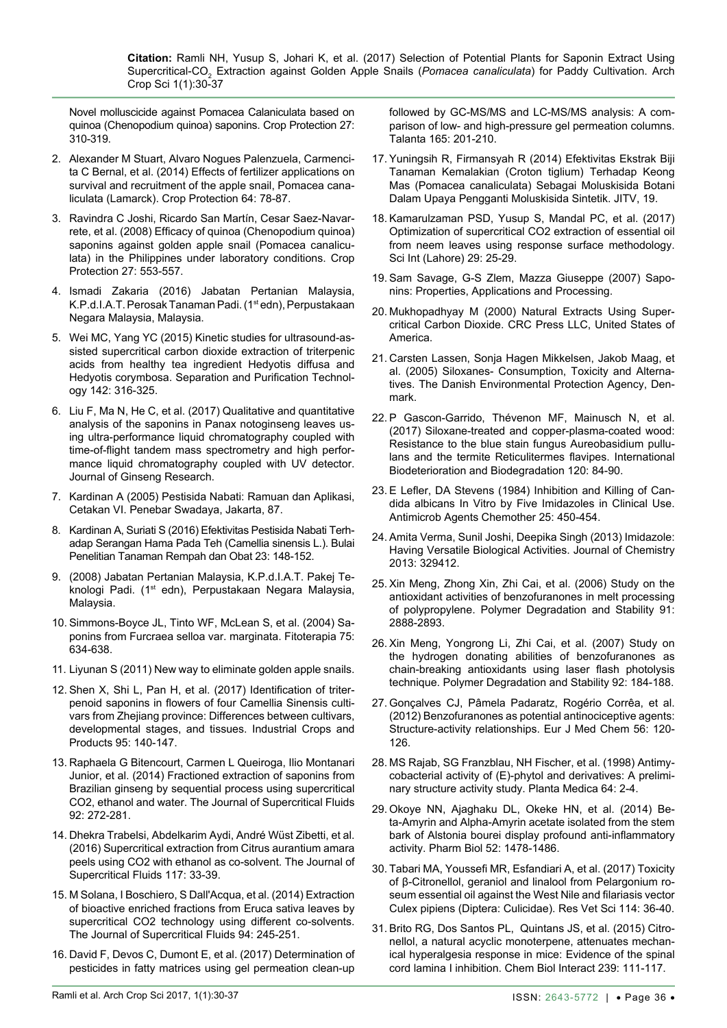[Novel molluscicide against Pomacea Calaniculata based on](http://www.sciencedirect.com/science/article/pii/S0261219407000701)  [quinoa \(Chenopodium quinoa\) saponins. Crop Protection 27:](http://www.sciencedirect.com/science/article/pii/S0261219407000701)  [310-319.](http://www.sciencedirect.com/science/article/pii/S0261219407000701)

- <span id="page-6-0"></span>2. [Alexander M Stuart, Alvaro Nogues Palenzuela, Carmenci](http://www.sciencedirect.com/science/article/pii/S0261219414001835)[ta C Bernal, et al. \(2014\) Effects of fertilizer applications on](http://www.sciencedirect.com/science/article/pii/S0261219414001835)  [survival and recruitment of the apple snail, Pomacea cana](http://www.sciencedirect.com/science/article/pii/S0261219414001835)[liculata \(Lamarck\). Crop Protection 64: 78-87.](http://www.sciencedirect.com/science/article/pii/S0261219414001835)
- <span id="page-6-1"></span>3. [Ravindra C Joshi, Ricardo San Martín, Cesar Saez-Navar](https://www.infona.pl/resource/bwmeta1.element.elsevier-1d24330b-5419-3f70-85a2-1d36206894a7)[rete, et al. \(2008\) Efficacy of quinoa \(Chenopodium quinoa\)](https://www.infona.pl/resource/bwmeta1.element.elsevier-1d24330b-5419-3f70-85a2-1d36206894a7)  [saponins against golden apple snail \(Pomacea canalicu](https://www.infona.pl/resource/bwmeta1.element.elsevier-1d24330b-5419-3f70-85a2-1d36206894a7)[lata\) in the Philippines under laboratory conditions. Crop](https://www.infona.pl/resource/bwmeta1.element.elsevier-1d24330b-5419-3f70-85a2-1d36206894a7)  [Protection 27: 553-557.](https://www.infona.pl/resource/bwmeta1.element.elsevier-1d24330b-5419-3f70-85a2-1d36206894a7)
- <span id="page-6-2"></span>4. Ismadi Zakaria (2016) Jabatan Pertanian Malaysia, K.P.d.I.A.T. Perosak Tanaman Padi. (1<sup>st</sup> edn), Perpustakaan Negara Malaysia, Malaysia.
- <span id="page-6-3"></span>5. [Wei MC, Yang YC \(2015\) Kinetic studies for ultrasound-as](http://www.sciencedirect.com/science/article/pii/S1383586615000283)[sisted supercritical carbon dioxide extraction of triterpenic](http://www.sciencedirect.com/science/article/pii/S1383586615000283)  [acids from healthy tea ingredient Hedyotis diffusa and](http://www.sciencedirect.com/science/article/pii/S1383586615000283)  [Hedyotis corymbosa. Separation and Purification Technol](http://www.sciencedirect.com/science/article/pii/S1383586615000283)[ogy 142: 316-325.](http://www.sciencedirect.com/science/article/pii/S1383586615000283)
- <span id="page-6-4"></span>6. [Liu F, Ma N, He C, et al. \(2017\) Qualitative and quantitative](http://www.sciencedirect.com/science/article/pii/S1226845316302305)  [analysis of the saponins in Panax notoginseng leaves us](http://www.sciencedirect.com/science/article/pii/S1226845316302305)[ing ultra-performance liquid chromatography coupled with](http://www.sciencedirect.com/science/article/pii/S1226845316302305)  [time-of-flight tandem mass spectrometry and high perfor](http://www.sciencedirect.com/science/article/pii/S1226845316302305)[mance liquid chromatography coupled with UV detector.](http://www.sciencedirect.com/science/article/pii/S1226845316302305)  [Journal of Ginseng Research.](http://www.sciencedirect.com/science/article/pii/S1226845316302305)
- <span id="page-6-5"></span>7. Kardinan A (2005) Pestisida Nabati: Ramuan dan Aplikasi, Cetakan VI. Penebar Swadaya, Jakarta, 87.
- <span id="page-6-6"></span>8. [Kardinan A, Suriati S \(2016\) Efektivitas Pestisida Nabati Terh](http://download.portalgaruda.org/article.php?article=454845&val=6425&title=EFEKTIVITAS PESTISIDA NABATI TERHA)[adap Serangan Hama Pada Teh \(Camellia sinensis L.\). Bulai](http://download.portalgaruda.org/article.php?article=454845&val=6425&title=EFEKTIVITAS PESTISIDA NABATI TERHA)  [Penelitian Tanaman Rempah dan Obat 23: 148-152.](http://download.portalgaruda.org/article.php?article=454845&val=6425&title=EFEKTIVITAS PESTISIDA NABATI TERHA)
- <span id="page-6-7"></span>9. (2008) Jabatan Pertanian Malaysia, K.P.d.I.A.T. Pakej Teknologi Padi. (1<sup>st</sup> edn), Perpustakaan Negara Malaysia, Malaysia.
- <span id="page-6-8"></span>10. [Simmons-Boyce JL, Tinto WF, McLean S, et al. \(2004\) Sa](https://www.ncbi.nlm.nih.gov/pubmed/15567237)[ponins from Furcraea selloa var. marginata. Fitoterapia 75:](https://www.ncbi.nlm.nih.gov/pubmed/15567237)  [634-638.](https://www.ncbi.nlm.nih.gov/pubmed/15567237)
- <span id="page-6-9"></span>11. Liyunan S (2011) New way to eliminate golden apple snails.
- <span id="page-6-10"></span>12. [Shen X, Shi L, Pan H, et al. \(2017\) Identification of triter](http://www.sciencedirect.com/science/article/pii/S092666901630677X)[penoid saponins in flowers of four Camellia Sinensis culti](http://www.sciencedirect.com/science/article/pii/S092666901630677X)[vars from Zhejiang province: Differences between cultivars,](http://www.sciencedirect.com/science/article/pii/S092666901630677X)  [developmental stages, and tissues. Industrial Crops and](http://www.sciencedirect.com/science/article/pii/S092666901630677X)  [Products 95: 140-147.](http://www.sciencedirect.com/science/article/pii/S092666901630677X)
- <span id="page-6-11"></span>13. [Raphaela G Bitencourt, Carmen L Queiroga, Ilio Montanari](http://www.sciencedirect.com/science/article/pii/S089684461400165X)  [Junior, et al. \(2014\) Fractioned extraction of saponins from](http://www.sciencedirect.com/science/article/pii/S089684461400165X)  [Brazilian ginseng by sequential process using supercritical](http://www.sciencedirect.com/science/article/pii/S089684461400165X)  [CO2, ethanol and water. The Journal of Supercritical Fluids](http://www.sciencedirect.com/science/article/pii/S089684461400165X)  [92: 272-281.](http://www.sciencedirect.com/science/article/pii/S089684461400165X)
- <span id="page-6-12"></span>14. [Dhekra Trabelsi, Abdelkarim Aydi, André Wüst Zibetti, et al.](http://www.sciencedirect.com/science/article/pii/S0896844616302029)  [\(2016\) Supercritical extraction from Citrus aurantium amara](http://www.sciencedirect.com/science/article/pii/S0896844616302029)  [peels using CO2 with ethanol as co-solvent. The Journal of](http://www.sciencedirect.com/science/article/pii/S0896844616302029)  [Supercritical Fluids 117: 33-39.](http://www.sciencedirect.com/science/article/pii/S0896844616302029)
- <span id="page-6-13"></span>15. [M Solana, I Boschiero, S Dall'Acqua, et al. \(2014\) Extraction](http://www.sciencedirect.com/science/article/pii/S0896844614002654)  [of bioactive enriched fractions from Eruca sativa leaves by](http://www.sciencedirect.com/science/article/pii/S0896844614002654)  [supercritical CO2 technology using different co-solvents.](http://www.sciencedirect.com/science/article/pii/S0896844614002654)  [The Journal of Supercritical Fluids 94: 245-251.](http://www.sciencedirect.com/science/article/pii/S0896844614002654)
- <span id="page-6-14"></span>16. [David F, Devos C, Dumont E, et al. \(2017\) Determination of](https://www.ncbi.nlm.nih.gov/pubmed/28153243)  [pesticides in fatty matrices using gel permeation clean-up](https://www.ncbi.nlm.nih.gov/pubmed/28153243)

[followed by GC-MS/MS and LC-MS/MS analysis: A com](https://www.ncbi.nlm.nih.gov/pubmed/28153243)[parison of low- and high-pressure gel permeation columns.](https://www.ncbi.nlm.nih.gov/pubmed/28153243)  [Talanta 165: 201-210.](https://www.ncbi.nlm.nih.gov/pubmed/28153243)

- <span id="page-6-15"></span>17. Yuningsih R, Firmansyah R (2014) Efektivitas Ekstrak Biji Tanaman Kemalakian (Croton tiglium) Terhadap Keong Mas (Pomacea canaliculata) Sebagai Moluskisida Botani Dalam Upaya Pengganti Moluskisida Sintetik. JITV, 19.
- <span id="page-6-16"></span>18. [Kamarulzaman PSD, Yusup S, Mandal PC, et al. \(2017\)](http://www.sci-int.com/pdf/636309054140764577.pdf)  [Optimization of supercritical CO2 extraction of essential oil](http://www.sci-int.com/pdf/636309054140764577.pdf)  [from neem leaves using response surface methodology.](http://www.sci-int.com/pdf/636309054140764577.pdf)  [Sci Int \(Lahore\) 29: 25-29.](http://www.sci-int.com/pdf/636309054140764577.pdf)
- <span id="page-6-17"></span>19. [Sam Savage, G-S Zlem, Mazza Giuseppe \(2007\) Sapo](http://www.redorbit.com/news/business/905822/saponins_properties_applications_and_processing/)[nins: Properties, Applications and Processing](http://www.redorbit.com/news/business/905822/saponins_properties_applications_and_processing/).
- <span id="page-6-18"></span>20. Mukhopadhyay M (2000) Natural Extracts Using Supercritical Carbon Dioxide. CRC Press LLC, United States of America.
- <span id="page-6-19"></span>21. [Carsten Lassen, Sonja Hagen Mikkelsen, Jakob Maag, et](https://www2.mst.dk/udgiv/publications/2005/87-7614-756-8/pdf/87-7614-757-6.pdf)  [al. \(2005\) Siloxanes- Consumption, Toxicity and Alterna](https://www2.mst.dk/udgiv/publications/2005/87-7614-756-8/pdf/87-7614-757-6.pdf)[tives. The Danish Environmental Protection Agency, Den](https://www2.mst.dk/udgiv/publications/2005/87-7614-756-8/pdf/87-7614-757-6.pdf)[mark.](https://www2.mst.dk/udgiv/publications/2005/87-7614-756-8/pdf/87-7614-757-6.pdf)
- <span id="page-6-20"></span>22. [P Gascon-Garrido, Thévenon MF, Mainusch N, et al.](http://publications.cirad.fr/une_notice.php?dk=583833)  [\(2017\) Siloxane-treated and copper-plasma-coated wood:](http://publications.cirad.fr/une_notice.php?dk=583833)  [Resistance to the blue stain fungus Aureobasidium pullu](http://publications.cirad.fr/une_notice.php?dk=583833)[lans and the termite Reticulitermes flavipes. International](http://publications.cirad.fr/une_notice.php?dk=583833)  [Biodeterioration and Biodegradation 120: 84-90.](http://publications.cirad.fr/une_notice.php?dk=583833)
- <span id="page-6-21"></span>23. [E Lefler, DA Stevens \(1984\) Inhibition and Killing of Can](https://www.ncbi.nlm.nih.gov/pmc/articles/PMC185550/)[dida albicans In Vitro by Five Imidazoles in Clinical Use.](https://www.ncbi.nlm.nih.gov/pmc/articles/PMC185550/)  [Antimicrob Agents Chemother 25: 450-454.](https://www.ncbi.nlm.nih.gov/pmc/articles/PMC185550/)
- <span id="page-6-22"></span>24. [Amita Verma, Sunil Joshi, Deepika Singh \(2013\) Imidazole:](https://www.hindawi.com/journals/jchem/2013/329412/)  [Having Versatile Biological Activities. Journal of Chemistry](https://www.hindawi.com/journals/jchem/2013/329412/)  [2013: 329412.](https://www.hindawi.com/journals/jchem/2013/329412/)
- <span id="page-6-23"></span>25. [Xin Meng, Zhong Xin, Zhi Cai, et al. \(2006\) Study on the](http://www.sciencedirect.com/science/article/pii/S0141391006002771)  [antioxidant activities of benzofuranones in melt processing](http://www.sciencedirect.com/science/article/pii/S0141391006002771)  [of polypropylene. Polymer Degradation and Stability 91:](http://www.sciencedirect.com/science/article/pii/S0141391006002771)  [2888-2893.](http://www.sciencedirect.com/science/article/pii/S0141391006002771)
- <span id="page-6-24"></span>26. [Xin Meng, Yongrong Li, Zhi Cai, et al. \(2007\) Study on](http://www.sciencedirect.com/science/article/pii/S014139100600245X)  [the hydrogen donating abilities of benzofuranones as](http://www.sciencedirect.com/science/article/pii/S014139100600245X)  [chain-breaking antioxidants using laser flash photolysis](http://www.sciencedirect.com/science/article/pii/S014139100600245X)  [technique. Polymer Degradation and Stability 92: 184-188.](http://www.sciencedirect.com/science/article/pii/S014139100600245X)
- <span id="page-6-25"></span>27. [Gonçalves CJ, Pâmela Padaratz, Rogério Corrêa, et al.](https://www.ncbi.nlm.nih.gov/pubmed/22960698)  [\(2012\) Benzofuranones as potential antinociceptive agents:](https://www.ncbi.nlm.nih.gov/pubmed/22960698)  [Structure-activity relationships. Eur J Med Chem 56: 120-](https://www.ncbi.nlm.nih.gov/pubmed/22960698) [126.](https://www.ncbi.nlm.nih.gov/pubmed/22960698)
- <span id="page-6-26"></span>28. MS Rajab, SG Franzblau, NH Fischer, et al. (1998) Antimycobacterial activity of (E)-phytol and derivatives: A preliminary structure activity study. Planta Medica 64: 2-4.
- <span id="page-6-27"></span>29. [Okoye NN, Ajaghaku DL, Okeke HN, et al. \(2014\) Be](https://www.ncbi.nlm.nih.gov/pubmed/25026352)[ta-Amyrin and Alpha-Amyrin acetate isolated from the stem](https://www.ncbi.nlm.nih.gov/pubmed/25026352)  [bark of Alstonia bourei display profound anti-inflammatory](https://www.ncbi.nlm.nih.gov/pubmed/25026352)  [activity. Pharm Biol 52: 1478-1486.](https://www.ncbi.nlm.nih.gov/pubmed/25026352)
- <span id="page-6-28"></span>30. [Tabari MA, Youssefi MR, Esfandiari A, et al. \(2017\) Toxicity](https://www.ncbi.nlm.nih.gov/pubmed/28297637)  [of β-Citronellol, geraniol and linalool from Pelargonium ro](https://www.ncbi.nlm.nih.gov/pubmed/28297637)[seum essential oil against the West Nile and filariasis vector](https://www.ncbi.nlm.nih.gov/pubmed/28297637)  [Culex pipiens \(Diptera: Culicidae\). Res Vet Sci 114: 36-40.](https://www.ncbi.nlm.nih.gov/pubmed/28297637)
- <span id="page-6-29"></span>31. [Brito RG, Dos Santos PL, Quintans JS, et al. \(2015\) Citro](https://www.ncbi.nlm.nih.gov/pubmed/26141506)[nellol, a natural acyclic monoterpene, attenuates mechan](https://www.ncbi.nlm.nih.gov/pubmed/26141506)[ical hyperalgesia response in mice: Evidence of the spinal](https://www.ncbi.nlm.nih.gov/pubmed/26141506)  [cord lamina I inhibition. Chem Biol Interact 239: 111-117.](https://www.ncbi.nlm.nih.gov/pubmed/26141506)